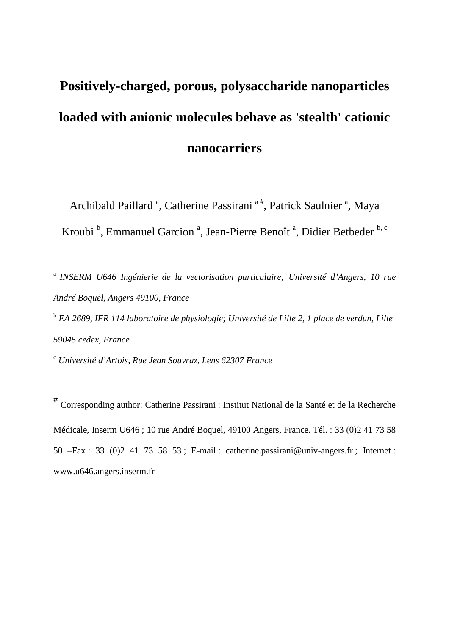# **Positively-charged, porous, polysaccharide nanoparticles loaded with anionic molecules behave as 'stealth' cationic nanocarriers**

Archibald Paillard<sup>a</sup>, Catherine Passirani<sup>a#</sup>, Patrick Saulnier<sup>a</sup>, Maya Kroubi<sup>b</sup>, Emmanuel Garcion<sup>a</sup>, Jean-Pierre Benoît<sup>a</sup>, Didier Betbeder<sup>b, c</sup>

<sup>a</sup>*INSERM U646 Ingénierie de la vectorisation particulaire; Université d'Angers, 10 rue André Boquel, Angers 49100, France*  <sup>b</sup> EA 2689, IFR 114 laboratoire de physiologie; Université de Lille 2, 1 place de verdun, Lille

*59045 cedex, France* 

c  *Université d'Artois, Rue Jean Souvraz, Lens 62307 France* 

# Corresponding author: Catherine Passirani : Institut National de la Santé et de la Recherche Médicale, Inserm U646 ; 10 rue André Boquel, 49100 Angers, France. Tél. : 33 (0)2 41 73 58 50 –Fax : 33 (0)2 41 73 58 53 ; E-mail : catherine.passirani@univ-angers.fr ; Internet : www.u646.angers.inserm.fr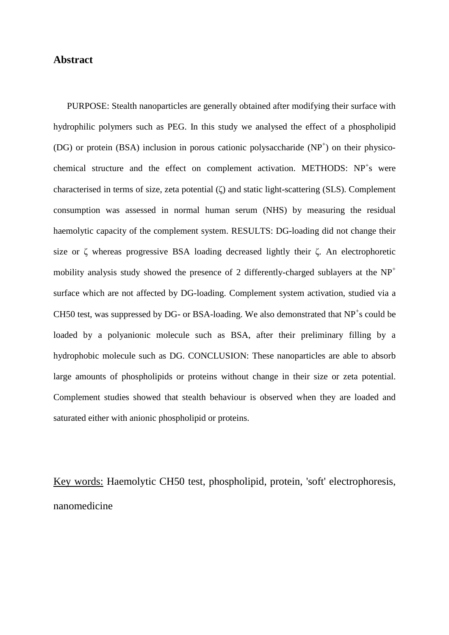# **Abstract**

PURPOSE: Stealth nanoparticles are generally obtained after modifying their surface with hydrophilic polymers such as PEG. In this study we analysed the effect of a phospholipid (DG) or protein (BSA) inclusion in porous cationic polysaccharide  $(NP<sup>+</sup>)$  on their physicochemical structure and the effect on complement activation. METHODS:  $NP<sup>+</sup>s$  were characterised in terms of size, zeta potential (ζ) and static light-scattering (SLS). Complement consumption was assessed in normal human serum (NHS) by measuring the residual haemolytic capacity of the complement system. RESULTS: DG-loading did not change their size or ζ whereas progressive BSA loading decreased lightly their ζ. An electrophoretic mobility analysis study showed the presence of 2 differently-charged sublayers at the  $NP<sup>+</sup>$ surface which are not affected by DG-loading. Complement system activation, studied via a CH50 test, was suppressed by DG- or BSA-loading. We also demonstrated that  $NP<sup>+</sup>$ s could be loaded by a polyanionic molecule such as BSA, after their preliminary filling by a hydrophobic molecule such as DG. CONCLUSION: These nanoparticles are able to absorb large amounts of phospholipids or proteins without change in their size or zeta potential. Complement studies showed that stealth behaviour is observed when they are loaded and saturated either with anionic phospholipid or proteins.

Key words: Haemolytic CH50 test, phospholipid, protein, 'soft' electrophoresis, nanomedicine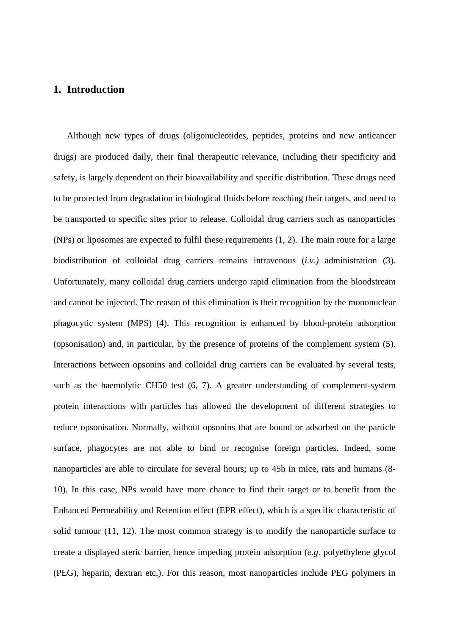# **1. Introduction**

Although new types of drugs (oligonucleotides, peptides, proteins and new anticancer drugs) are produced daily, their final therapeutic relevance, including their specificity and safety, is largely dependent on their bioavailability and specific distribution. These drugs need to be protected from degradation in biological fluids before reaching their targets, and need to be transported to specific sites prior to release. Colloidal drug carriers such as nanoparticles (NPs) or liposomes are expected to fulfil these requirements (1, 2). The main route for a large biodistribution of colloidal drug carriers remains intravenous (*i.v.)* administration (3). Unfortunately, many colloidal drug carriers undergo rapid elimination from the bloodstream and cannot be injected. The reason of this elimination is their recognition by the mononuclear phagocytic system (MPS) (4). This recognition is enhanced by blood-protein adsorption (opsonisation) and, in particular, by the presence of proteins of the complement system (5). Interactions between opsonins and colloidal drug carriers can be evaluated by several tests, such as the haemolytic CH50 test (6, 7). A greater understanding of complement-system protein interactions with particles has allowed the development of different strategies to reduce opsonisation. Normally, without opsonins that are bound or adsorbed on the particle surface, phagocytes are not able to bind or recognise foreign particles. Indeed, some nanoparticles are able to circulate for several hours; up to 45h in mice, rats and humans (8- 10). In this case, NPs would have more chance to find their target or to benefit from the Enhanced Permeability and Retention effect (EPR effect), which is a specific characteristic of solid tumour (11, 12). The most common strategy is to modify the nanoparticle surface to create a displayed steric barrier, hence impeding protein adsorption (*e.g.* polyethylene glycol (PEG), heparin, dextran etc.). For this reason, most nanoparticles include PEG polymers in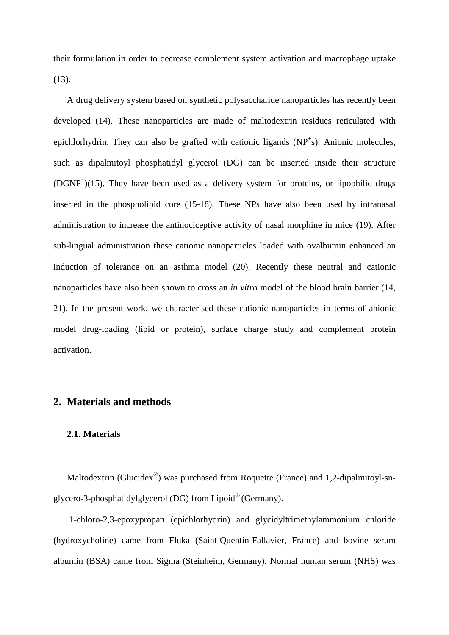their formulation in order to decrease complement system activation and macrophage uptake  $(13)$ .

A drug delivery system based on synthetic polysaccharide nanoparticles has recently been developed (14). These nanoparticles are made of maltodextrin residues reticulated with epichlorhydrin. They can also be grafted with cationic ligands (NP<sup>+</sup>s). Anionic molecules, such as dipalmitoyl phosphatidyl glycerol (DG) can be inserted inside their structure (DGNP<sup>+</sup>)(15). They have been used as a delivery system for proteins, or lipophilic drugs inserted in the phospholipid core (15-18). These NPs have also been used by intranasal administration to increase the antinociceptive activity of nasal morphine in mice (19). After sub-lingual administration these cationic nanoparticles loaded with ovalbumin enhanced an induction of tolerance on an asthma model (20). Recently these neutral and cationic nanoparticles have also been shown to cross an *in vitro* model of the blood brain barrier (14, 21). In the present work, we characterised these cationic nanoparticles in terms of anionic model drug-loading (lipid or protein), surface charge study and complement protein activation.

# **2. Materials and methods**

## **2.1. Materials**

Maltodextrin (Glucidex<sup>®</sup>) was purchased from Roquette (France) and 1,2-dipalmitoyl-snglycero-3-phosphatidylglycerol (DG) from Lipoid® (Germany).

 1-chloro-2,3-epoxypropan (epichlorhydrin) and glycidyltrimethylammonium chloride (hydroxycholine) came from Fluka (Saint-Quentin-Fallavier, France) and bovine serum albumin (BSA) came from Sigma (Steinheim, Germany). Normal human serum (NHS) was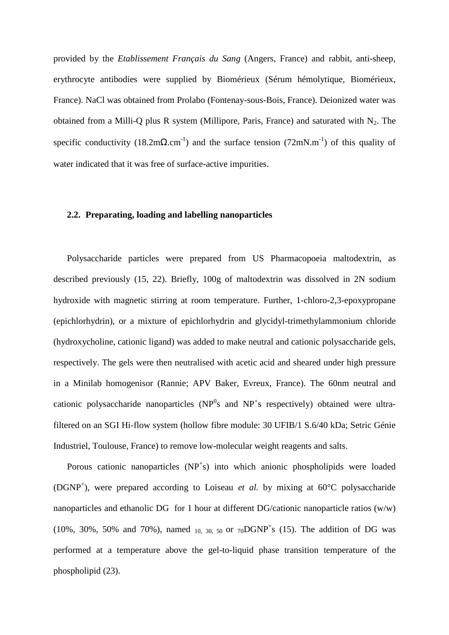provided by the *Etablissement Français du Sang* (Angers, France) and rabbit, anti-sheep, erythrocyte antibodies were supplied by Biomérieux (Sérum hémolytique, Biomérieux, France). NaCl was obtained from Prolabo (Fontenay-sous-Bois, France). Deionized water was obtained from a Milli-Q plus R system (Millipore, Paris, France) and saturated with  $N_2$ . The specific conductivity (18.2m $\Omega$ .cm<sup>-1</sup>) and the surface tension (72mN.m<sup>-1</sup>) of this quality of water indicated that it was free of surface-active impurities.

## **2.2. Preparating, loading and labelling nanoparticles**

Polysaccharide particles were prepared from US Pharmacopoeia maltodextrin, as described previously (15, 22). Briefly, 100g of maltodextrin was dissolved in 2N sodium hydroxide with magnetic stirring at room temperature. Further, 1-chloro-2,3-epoxypropane (epichlorhydrin), or a mixture of epichlorhydrin and glycidyl-trimethylammonium chloride (hydroxycholine, cationic ligand) was added to make neutral and cationic polysaccharide gels, respectively. The gels were then neutralised with acetic acid and sheared under high pressure in a Minilab homogenisor (Rannie; APV Baker, Evreux, France). The 60nm neutral and cationic polysaccharide nanoparticles ( $NP<sup>0</sup>s$  and  $NP<sup>+</sup>s$  respectively) obtained were ultrafiltered on an SGI Hi-flow system (hollow fibre module: 30 UFIB/1 S.6/40 kDa; Setric Génie Industriel, Toulouse, France) to remove low-molecular weight reagents and salts.

Porous cationic nanoparticles (NP<sup>+</sup>s) into which anionic phospholipids were loaded (DGNP<sup>+</sup>), were prepared according to Loiseau *et al.* by mixing at  $60^{\circ}$ C polysaccharide nanoparticles and ethanolic DG for 1 hour at different DG/cationic nanoparticle ratios (w/w) (10%, 30%, 50% and 70%), named  $_{10, 30, 50}$  or  $_{70}DGNP^+s$  (15). The addition of DG was performed at a temperature above the gel-to-liquid phase transition temperature of the phospholipid (23).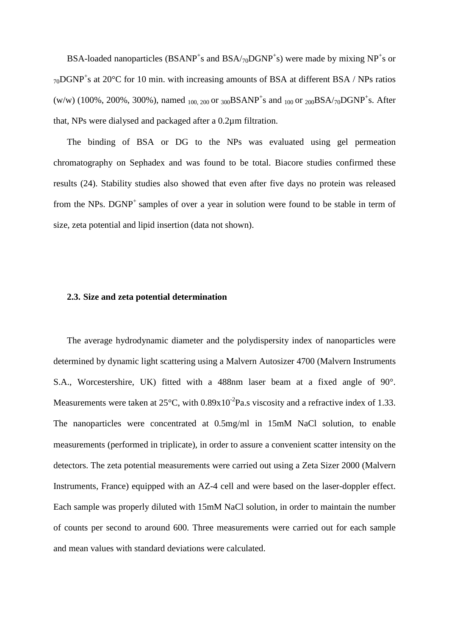BSA-loaded nanoparticles (BSANP<sup>+</sup>s and BSA/<sub>70</sub>DGNP<sup>+</sup>s) were made by mixing NP<sup>+</sup>s or  $_{70}$ DGNP<sup>+</sup>s at 20°C for 10 min. with increasing amounts of BSA at different BSA / NPs ratios (w/w) (100%, 200%, 300%), named <sub>100, 200</sub> or <sub>300</sub>BSANP<sup>+</sup>s and <sub>100</sub> or <sub>200</sub>BSA/<sub>70</sub>DGNP<sup>+</sup>s. After that, NPs were dialysed and packaged after a 0.2µm filtration.

The binding of BSA or DG to the NPs was evaluated using gel permeation chromatography on Sephadex and was found to be total. Biacore studies confirmed these results (24). Stability studies also showed that even after five days no protein was released from the NPs.  $DGNP^+$  samples of over a year in solution were found to be stable in term of size, zeta potential and lipid insertion (data not shown).

### **2.3. Size and zeta potential determination**

The average hydrodynamic diameter and the polydispersity index of nanoparticles were determined by dynamic light scattering using a Malvern Autosizer 4700 (Malvern Instruments S.A., Worcestershire, UK) fitted with a 488nm laser beam at a fixed angle of 90°. Measurements were taken at  $25^{\circ}$ C, with  $0.89x10^{-2}$ Pa.s viscosity and a refractive index of 1.33. The nanoparticles were concentrated at 0.5mg/ml in 15mM NaCl solution, to enable measurements (performed in triplicate), in order to assure a convenient scatter intensity on the detectors. The zeta potential measurements were carried out using a Zeta Sizer 2000 (Malvern Instruments, France) equipped with an AZ-4 cell and were based on the laser-doppler effect. Each sample was properly diluted with 15mM NaCl solution, in order to maintain the number of counts per second to around 600. Three measurements were carried out for each sample and mean values with standard deviations were calculated.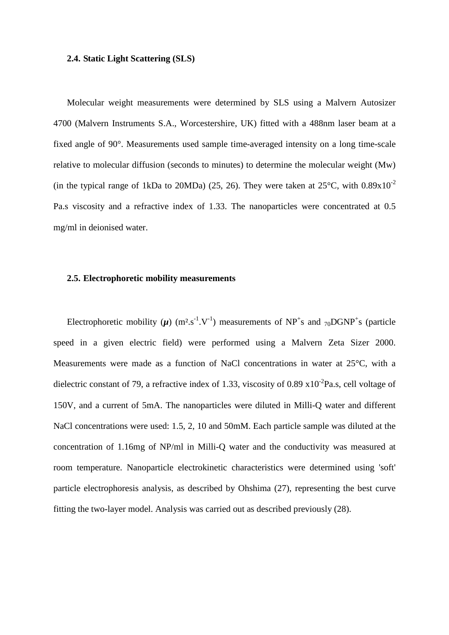#### **2.4. Static Light Scattering (SLS)**

Molecular weight measurements were determined by SLS using a Malvern Autosizer 4700 (Malvern Instruments S.A., Worcestershire, UK) fitted with a 488nm laser beam at a fixed angle of 90°. Measurements used sample time-averaged intensity on a long time-scale relative to molecular diffusion (seconds to minutes) to determine the molecular weight (Mw) (in the typical range of 1kDa to 20MDa) (25, 26). They were taken at  $25^{\circ}$ C, with  $0.89 \times 10^{-2}$ Pa.s viscosity and a refractive index of 1.33. The nanoparticles were concentrated at 0.5 mg/ml in deionised water.

## **2.5. Electrophoretic mobility measurements**

Electrophoretic mobility  $(\mu)$  (m<sup>2</sup>.s<sup>-1</sup>.V<sup>-1</sup>) measurements of NP<sup>+</sup>s and <sub>70</sub>DGNP<sup>+</sup>s (particle speed in a given electric field) were performed using a Malvern Zeta Sizer 2000. Measurements were made as a function of NaCl concentrations in water at 25°C, with a dielectric constant of 79, a refractive index of 1.33, viscosity of 0.89  $x10^{-2}Pa.s$ , cell voltage of 150V, and a current of 5mA. The nanoparticles were diluted in Milli-Q water and different NaCl concentrations were used: 1.5, 2, 10 and 50mM. Each particle sample was diluted at the concentration of 1.16mg of NP/ml in Milli-Q water and the conductivity was measured at room temperature. Nanoparticle electrokinetic characteristics were determined using 'soft' particle electrophoresis analysis, as described by Ohshima (27), representing the best curve fitting the two-layer model. Analysis was carried out as described previously (28).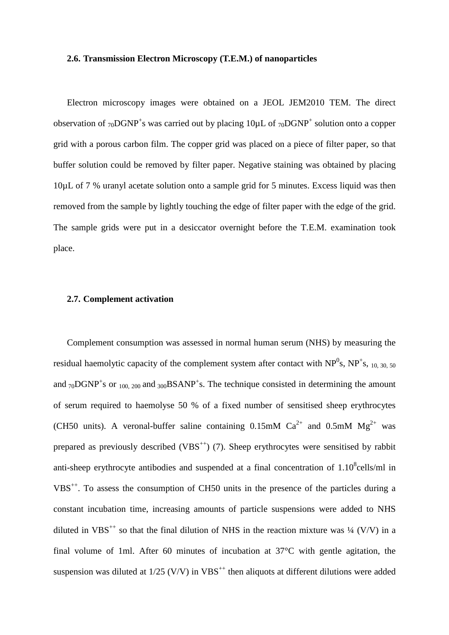#### **2.6. Transmission Electron Microscopy (T.E.M.) of nanoparticles**

Electron microscopy images were obtained on a JEOL JEM2010 TEM. The direct observation of  $_{70}$ DGNP<sup>+</sup>s was carried out by placing 10 $\mu$ L of  $_{70}$ DGNP<sup>+</sup> solution onto a copper grid with a porous carbon film. The copper grid was placed on a piece of filter paper, so that buffer solution could be removed by filter paper. Negative staining was obtained by placing 10µL of 7 % uranyl acetate solution onto a sample grid for 5 minutes. Excess liquid was then removed from the sample by lightly touching the edge of filter paper with the edge of the grid. The sample grids were put in a desiccator overnight before the T.E.M. examination took place.

#### **2.7. Complement activation**

Complement consumption was assessed in normal human serum (NHS) by measuring the residual haemolytic capacity of the complement system after contact with  $NP^{0}$ s,  $NP^{+}$ s, <sub>10, 30, 50</sub> and  $_{70}$ DGNP<sup>+</sup>s or <sub>100, 200</sub> and <sub>300</sub>BSANP<sup>+</sup>s. The technique consisted in determining the amount of serum required to haemolyse 50 % of a fixed number of sensitised sheep erythrocytes (CH50 units). A veronal-buffer saline containing  $0.15 \text{mM}$  Ca<sup>2+</sup> and  $0.5 \text{mM}$  Mg<sup>2+</sup> was prepared as previously described  $(VBS^{++})$  (7). Sheep erythrocytes were sensitised by rabbit anti-sheep erythrocyte antibodies and suspended at a final concentration of  $1.10<sup>8</sup>$ cells/ml in VBS++. To assess the consumption of CH50 units in the presence of the particles during a constant incubation time, increasing amounts of particle suspensions were added to NHS diluted in VBS<sup>++</sup> so that the final dilution of NHS in the reaction mixture was  $\frac{1}{4}$  (V/V) in a final volume of 1ml. After 60 minutes of incubation at 37°C with gentle agitation, the suspension was diluted at  $1/25$  (V/V) in VBS<sup>++</sup> then aliquots at different dilutions were added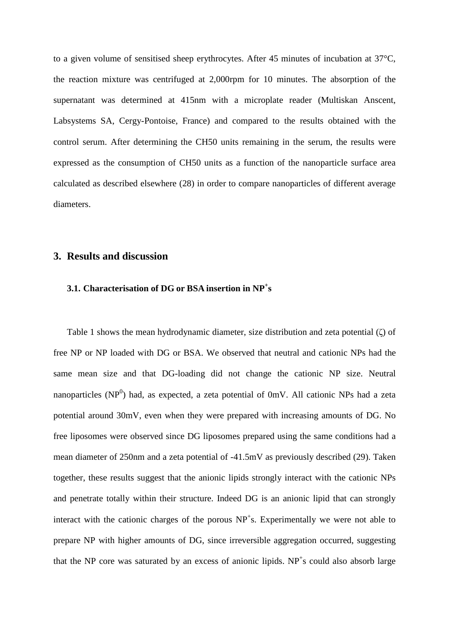to a given volume of sensitised sheep erythrocytes. After 45 minutes of incubation at 37°C, the reaction mixture was centrifuged at 2,000rpm for 10 minutes. The absorption of the supernatant was determined at 415nm with a microplate reader (Multiskan Anscent, Labsystems SA, Cergy-Pontoise, France) and compared to the results obtained with the control serum. After determining the CH50 units remaining in the serum, the results were expressed as the consumption of CH50 units as a function of the nanoparticle surface area calculated as described elsewhere (28) in order to compare nanoparticles of different average diameters.

# **3. Results and discussion**

# **3.1. Characterisation of DG or BSA insertion in NP<sup>+</sup> s**

Table 1 shows the mean hydrodynamic diameter, size distribution and zeta potential (ζ) of free NP or NP loaded with DG or BSA. We observed that neutral and cationic NPs had the same mean size and that DG-loading did not change the cationic NP size. Neutral nanoparticles (NP $^{0}$ ) had, as expected, a zeta potential of 0mV. All cationic NPs had a zeta potential around 30mV, even when they were prepared with increasing amounts of DG. No free liposomes were observed since DG liposomes prepared using the same conditions had a mean diameter of 250nm and a zeta potential of -41.5mV as previously described (29). Taken together, these results suggest that the anionic lipids strongly interact with the cationic NPs and penetrate totally within their structure. Indeed DG is an anionic lipid that can strongly interact with the cationic charges of the porous  $NP<sup>+</sup>$ s. Experimentally we were not able to prepare NP with higher amounts of DG, since irreversible aggregation occurred, suggesting that the NP core was saturated by an excess of anionic lipids.  $NP<sup>+</sup>s$  could also absorb large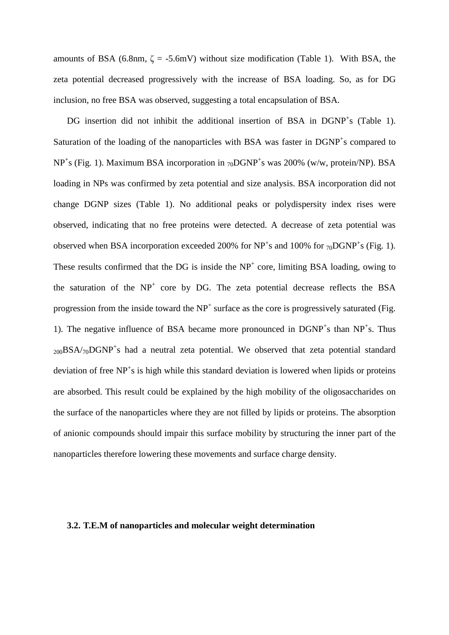amounts of BSA (6.8nm,  $\zeta = -5.6$ mV) without size modification (Table 1). With BSA, the zeta potential decreased progressively with the increase of BSA loading. So, as for DG inclusion, no free BSA was observed, suggesting a total encapsulation of BSA.

DG insertion did not inhibit the additional insertion of BSA in DGNP<sup>+</sup>s (Table 1). Saturation of the loading of the nanoparticles with BSA was faster in DGNP<sup>+</sup>s compared to  $NP<sup>+</sup>s$  (Fig. 1). Maximum BSA incorporation in  $_{70}DGNP<sup>+</sup>s$  was 200% (w/w, protein/NP). BSA loading in NPs was confirmed by zeta potential and size analysis. BSA incorporation did not change DGNP sizes (Table 1). No additional peaks or polydispersity index rises were observed, indicating that no free proteins were detected. A decrease of zeta potential was observed when BSA incorporation exceeded 200% for  $NP^+s$  and 100% for  $70DGNP^+s$  (Fig. 1). These results confirmed that the  $DG$  is inside the  $NP<sup>+</sup>$  core, limiting BSA loading, owing to the saturation of the  $NP<sup>+</sup>$  core by DG. The zeta potential decrease reflects the BSA progression from the inside toward the  $NP<sup>+</sup>$  surface as the core is progressively saturated (Fig. 1). The negative influence of BSA became more pronounced in  $DGNP^+s$  than  $NP^+s$ . Thus  $_{200}$ BSA/ $_{70}$ DGNP<sup>+</sup>s had a neutral zeta potential. We observed that zeta potential standard deviation of free NP<sup>+</sup>s is high while this standard deviation is lowered when lipids or proteins are absorbed. This result could be explained by the high mobility of the oligosaccharides on the surface of the nanoparticles where they are not filled by lipids or proteins. The absorption of anionic compounds should impair this surface mobility by structuring the inner part of the nanoparticles therefore lowering these movements and surface charge density.

## **3.2. T.E.M of nanoparticles and molecular weight determination**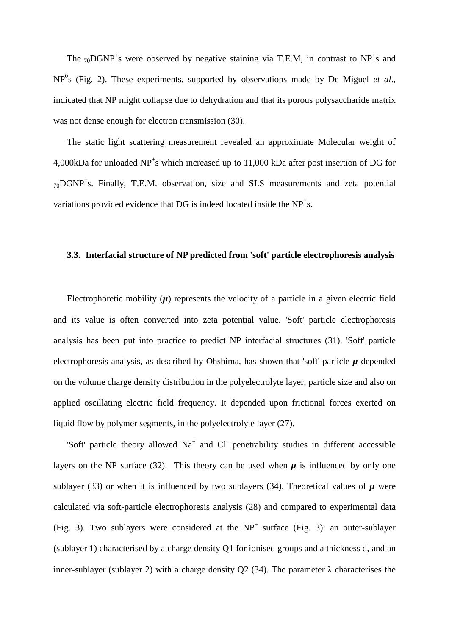The  $_{70}$ DGNP<sup>+</sup>s were observed by negative staining via T.E.M, in contrast to NP<sup>+</sup>s and NP<sup>0</sup> s (Fig. 2). These experiments, supported by observations made by De Miguel *et al*., indicated that NP might collapse due to dehydration and that its porous polysaccharide matrix was not dense enough for electron transmission (30).

The static light scattering measurement revealed an approximate Molecular weight of 4,000kDa for unloaded  $NP<sup>+</sup>$ s which increased up to 11,000 kDa after post insertion of DG for  $_{70}$ DGNP<sup>+</sup>s. Finally, T.E.M. observation, size and SLS measurements and zeta potential variations provided evidence that DG is indeed located inside the  $NP<sup>+</sup>$ s.

## **3.3. Interfacial structure of NP predicted from 'soft' particle electrophoresis analysis**

Electrophoretic mobility  $(\mu)$  represents the velocity of a particle in a given electric field and its value is often converted into zeta potential value. 'Soft' particle electrophoresis analysis has been put into practice to predict NP interfacial structures (31). 'Soft' particle electrophoresis analysis, as described by Ohshima, has shown that 'soft' particle  $\mu$  depended on the volume charge density distribution in the polyelectrolyte layer, particle size and also on applied oscillating electric field frequency. It depended upon frictional forces exerted on liquid flow by polymer segments, in the polyelectrolyte layer (27).

'Soft' particle theory allowed Na<sup>+</sup> and Cl<sup>-</sup> penetrability studies in different accessible layers on the NP surface (32). This theory can be used when  $\mu$  is influenced by only one sublayer (33) or when it is influenced by two sublayers (34). Theoretical values of  $\mu$  were calculated via soft-particle electrophoresis analysis (28) and compared to experimental data (Fig. 3). Two sublayers were considered at the  $NP<sup>+</sup>$  surface (Fig. 3): an outer-sublayer (sublayer 1) characterised by a charge density Q1 for ionised groups and a thickness d, and an inner-sublayer (sublayer 2) with a charge density Q2 (34). The parameter  $\lambda$  characterises the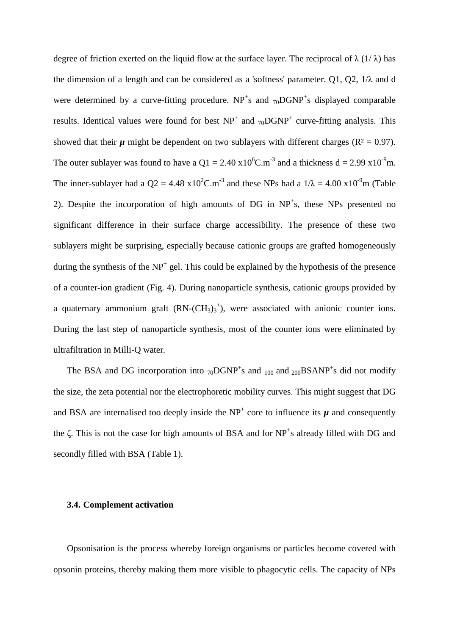degree of friction exerted on the liquid flow at the surface layer. The reciprocal of  $\lambda$  (1/ $\lambda$ ) has the dimension of a length and can be considered as a 'softness' parameter. Q1, Q2,  $1/\lambda$  and d were determined by a curve-fitting procedure.  $NP^+s$  and  $70DGNP^+s$  displayed comparable results. Identical values were found for best  $NP^+$  and  $_{70}DGNP^+$  curve-fitting analysis. This showed that their  $\mu$  might be dependent on two sublayers with different charges ( $\mathbb{R}^2 = 0.97$ ). The outer sublayer was found to have a  $Q1 = 2.40 \times 10^{6}$ C.m<sup>-3</sup> and a thickness d = 2.99 x10<sup>-9</sup>m. The inner-sublayer had a Q2 = 4.48 x10<sup>2</sup>C.m<sup>-3</sup> and these NPs had a  $1/\lambda = 4.00 \times 10^{-9}$ m (Table 2). Despite the incorporation of high amounts of DG in NP<sup>+</sup>s, these NPs presented no significant difference in their surface charge accessibility. The presence of these two sublayers might be surprising, especially because cationic groups are grafted homogeneously during the synthesis of the  $NP<sup>+</sup>$  gel. This could be explained by the hypothesis of the presence of a counter-ion gradient (Fig. 4). During nanoparticle synthesis, cationic groups provided by a quaternary ammonium graft  $(RN-(CH<sub>3</sub>)<sub>3</sub><sup>+</sup>)$ , were associated with anionic counter ions. During the last step of nanoparticle synthesis, most of the counter ions were eliminated by ultrafiltration in Milli-Q water*.* 

The BSA and DG incorporation into  $_{70}$ DGNP<sup>+</sup>s and  $_{100}$  and  $_{200}$ BSANP<sup>+</sup>s did not modify the size, the zeta potential nor the electrophoretic mobility curves. This might suggest that DG and BSA are internalised too deeply inside the  $NP<sup>+</sup>$  core to influence its  $\mu$  and consequently the  $\zeta$ . This is not the case for high amounts of BSA and for NP<sup>+</sup>s already filled with DG and secondly filled with BSA (Table 1).

## **3.4. Complement activation**

Opsonisation is the process whereby foreign organisms or particles become covered with opsonin proteins, thereby making them more visible to phagocytic cells. The capacity of NPs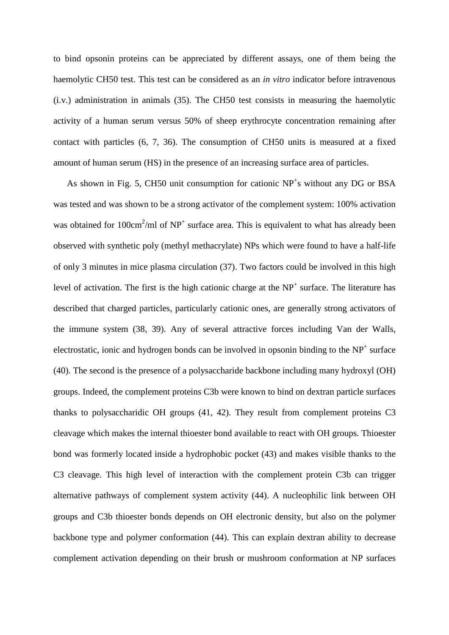to bind opsonin proteins can be appreciated by different assays, one of them being the haemolytic CH50 test. This test can be considered as an *in vitro* indicator before intravenous (i.v.) administration in animals (35). The CH50 test consists in measuring the haemolytic activity of a human serum versus 50% of sheep erythrocyte concentration remaining after contact with particles (6, 7, 36). The consumption of CH50 units is measured at a fixed amount of human serum (HS) in the presence of an increasing surface area of particles.

As shown in Fig. 5, CH50 unit consumption for cationic NP<sup>+</sup>s without any DG or BSA was tested and was shown to be a strong activator of the complement system: 100% activation was obtained for  $100 \text{cm}^2/\text{ml}$  of NP<sup>+</sup> surface area. This is equivalent to what has already been observed with synthetic poly (methyl methacrylate) NPs which were found to have a half-life of only 3 minutes in mice plasma circulation (37). Two factors could be involved in this high level of activation. The first is the high cationic charge at the  $NP<sup>+</sup>$  surface. The literature has described that charged particles, particularly cationic ones, are generally strong activators of the immune system (38, 39). Any of several attractive forces including Van der Walls, electrostatic, ionic and hydrogen bonds can be involved in opsonin binding to the  $NP<sup>+</sup>$  surface (40). The second is the presence of a polysaccharide backbone including many hydroxyl (OH) groups. Indeed, the complement proteins C3b were known to bind on dextran particle surfaces thanks to polysaccharidic OH groups (41, 42). They result from complement proteins C3 cleavage which makes the internal thioester bond available to react with OH groups. Thioester bond was formerly located inside a hydrophobic pocket (43) and makes visible thanks to the C3 cleavage. This high level of interaction with the complement protein C3b can trigger alternative pathways of complement system activity (44). A nucleophilic link between OH groups and C3b thioester bonds depends on OH electronic density, but also on the polymer backbone type and polymer conformation (44). This can explain dextran ability to decrease complement activation depending on their brush or mushroom conformation at NP surfaces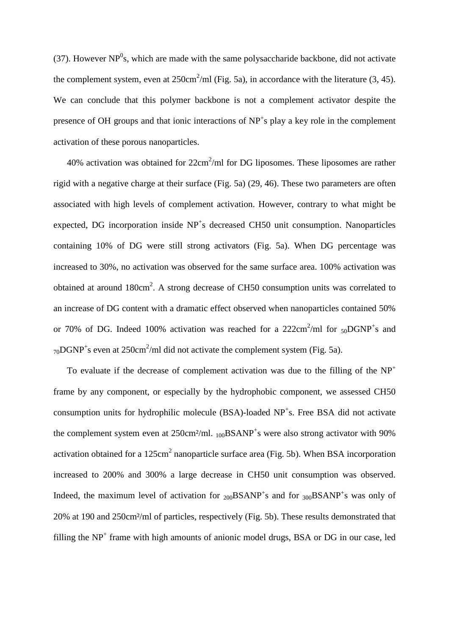(37). However  $NP<sup>0</sup>s$ , which are made with the same polysaccharide backbone, did not activate the complement system, even at  $250 \text{cm}^2/\text{ml}$  (Fig. 5a), in accordance with the literature (3, 45). We can conclude that this polymer backbone is not a complement activator despite the presence of OH groups and that ionic interactions of NP<sup>+</sup>s play a key role in the complement activation of these porous nanoparticles.

40% activation was obtained for  $22 \text{cm}^2/\text{ml}$  for DG liposomes. These liposomes are rather rigid with a negative charge at their surface (Fig. 5a) (29, 46). These two parameters are often associated with high levels of complement activation. However, contrary to what might be expected, DG incorporation inside NP<sup>+</sup>s decreased CH50 unit consumption. Nanoparticles containing 10% of DG were still strong activators (Fig. 5a). When DG percentage was increased to 30%, no activation was observed for the same surface area. 100% activation was obtained at around  $180 \text{cm}^2$ . A strong decrease of CH50 consumption units was correlated to an increase of DG content with a dramatic effect observed when nanoparticles contained 50% or 70% of DG. Indeed 100% activation was reached for a  $222 \text{cm}^2/\text{ml}$  for  $50 \text{DGNP}^+$ s and  $_{70}$ DGNP<sup>+</sup>s even at 250cm<sup>2</sup>/ml did not activate the complement system (Fig. 5a).

To evaluate if the decrease of complement activation was due to the filling of the  $NP<sup>+</sup>$ frame by any component, or especially by the hydrophobic component*,* we assessed CH50 consumption units for hydrophilic molecule (BSA)-loaded NP<sup>+</sup>s. Free BSA did not activate the complement system even at  $250 \text{cm}^2/\text{ml}$ .  $_{100}$ BSANP<sup>+</sup>s were also strong activator with 90% activation obtained for a  $125 \text{cm}^2$  nanoparticle surface area (Fig. 5b). When BSA incorporation increased to 200% and 300% a large decrease in CH50 unit consumption was observed. Indeed, the maximum level of activation for  $_{200}$ BSANP<sup>+</sup>s and for  $_{300}$ BSANP<sup>+</sup>s was only of 20% at 190 and 250cm²/ml of particles, respectively (Fig. 5b). These results demonstrated that filling the NP<sup>+</sup> frame with high amounts of anionic model drugs, BSA or DG in our case, led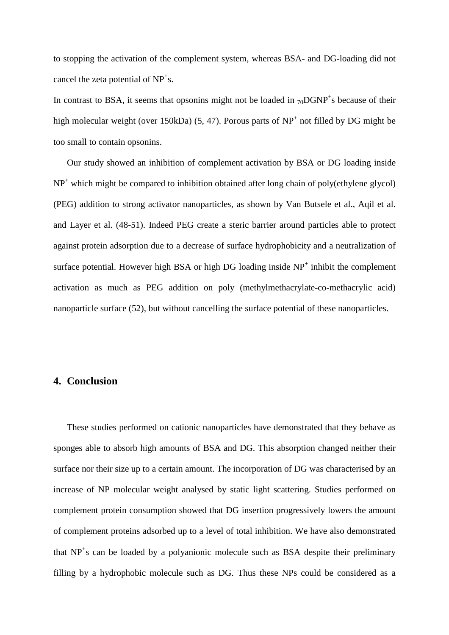to stopping the activation of the complement system, whereas BSA- and DG-loading did not cancel the zeta potential of  $NP<sup>+</sup>s$ .

In contrast to BSA, it seems that opsonins might not be loaded in  $_{70}DGNP<sup>+</sup>s$  because of their high molecular weight (over 150kDa)  $(5, 47)$ . Porous parts of NP<sup>+</sup> not filled by DG might be too small to contain opsonins.

Our study showed an inhibition of complement activation by BSA or DG loading inside NP<sup>+</sup> which might be compared to inhibition obtained after long chain of poly(ethylene glycol) (PEG) addition to strong activator nanoparticles, as shown by Van Butsele et al., Aqil et al. and Layer et al. (48-51). Indeed PEG create a steric barrier around particles able to protect against protein adsorption due to a decrease of surface hydrophobicity and a neutralization of surface potential. However high BSA or high DG loading inside  $NP<sup>+</sup>$  inhibit the complement activation as much as PEG addition on poly (methylmethacrylate-co-methacrylic acid) nanoparticle surface (52), but without cancelling the surface potential of these nanoparticles.

# **4. Conclusion**

These studies performed on cationic nanoparticles have demonstrated that they behave as sponges able to absorb high amounts of BSA and DG. This absorption changed neither their surface nor their size up to a certain amount. The incorporation of DG was characterised by an increase of NP molecular weight analysed by static light scattering. Studies performed on complement protein consumption showed that DG insertion progressively lowers the amount of complement proteins adsorbed up to a level of total inhibition. We have also demonstrated that NP<sup>+</sup>s can be loaded by a polyanionic molecule such as BSA despite their preliminary filling by a hydrophobic molecule such as DG. Thus these NPs could be considered as a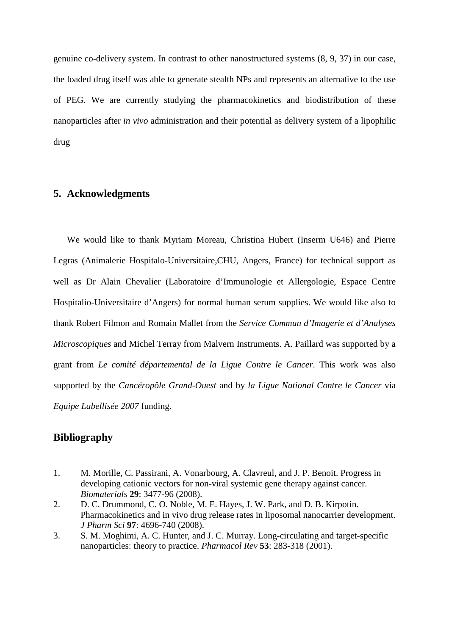genuine co-delivery system. In contrast to other nanostructured systems (8, 9, 37) in our case, the loaded drug itself was able to generate stealth NPs and represents an alternative to the use of PEG. We are currently studying the pharmacokinetics and biodistribution of these nanoparticles after *in vivo* administration and their potential as delivery system of a lipophilic drug

# **5. Acknowledgments**

We would like to thank Myriam Moreau, Christina Hubert (Inserm U646) and Pierre Legras (Animalerie Hospitalo-Universitaire,CHU, Angers, France) for technical support as well as Dr Alain Chevalier (Laboratoire d'Immunologie et Allergologie, Espace Centre Hospitalio-Universitaire d'Angers) for normal human serum supplies. We would like also to thank Robert Filmon and Romain Mallet from the *Service Commun d'Imagerie et d'Analyses Microscopiques* and Michel Terray from Malvern Instruments. A. Paillard was supported by a grant from *Le comité départemental de la Ligue Contre le Cancer*. This work was also supported by the *Cancéropôle Grand-Ouest* and by *la Ligue National Contre le Cancer* via *Equipe Labellisée 2007* funding.

# **Bibliography**

- 1. M. Morille, C. Passirani, A. Vonarbourg, A. Clavreul, and J. P. Benoit. Progress in developing cationic vectors for non-viral systemic gene therapy against cancer. *Biomaterials* **29**: 3477-96 (2008).
- 2. D. C. Drummond, C. O. Noble, M. E. Hayes, J. W. Park, and D. B. Kirpotin. Pharmacokinetics and in vivo drug release rates in liposomal nanocarrier development. *J Pharm Sci* **97**: 4696-740 (2008).
- 3. S. M. Moghimi, A. C. Hunter, and J. C. Murray. Long-circulating and target-specific nanoparticles: theory to practice. *Pharmacol Rev* **53**: 283-318 (2001).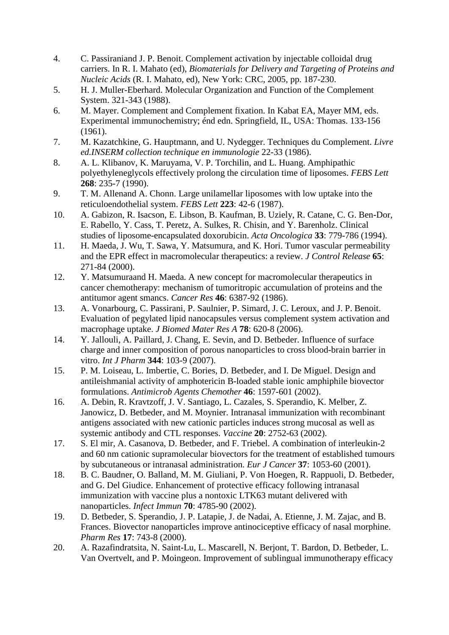- 4. C. Passiraniand J. P. Benoit. Complement activation by injectable colloidal drug carriers. In R. I. Mahato (ed), *Biomaterials for Delivery and Targeting of Proteins and Nucleic Acids* (R. I. Mahato, ed), New York: CRC, 2005, pp. 187-230.
- 5. H. J. Muller-Eberhard. Molecular Organization and Function of the Complement System. 321-343 (1988).
- 6. M. Mayer. Complement and Complement fixation. In Kabat EA, Mayer MM, eds. Experimental immunochemistry; énd edn. Springfield, IL, USA: Thomas. 133-156 (1961).
- 7. M. Kazatchkine, G. Hauptmann, and U. Nydegger. Techniques du Complement. *Livre ed.INSERM collection technique en immunologie* 22-33 (1986).
- 8. A. L. Klibanov, K. Maruyama, V. P. Torchilin, and L. Huang. Amphipathic polyethyleneglycols effectively prolong the circulation time of liposomes. *FEBS Lett* **268**: 235-7 (1990).
- 9. T. M. Allenand A. Chonn. Large unilamellar liposomes with low uptake into the reticuloendothelial system. *FEBS Lett* **223**: 42-6 (1987).
- 10. A. Gabizon, R. Isacson, E. Libson, B. Kaufman, B. Uziely, R. Catane, C. G. Ben-Dor, E. Rabello, Y. Cass, T. Peretz, A. Sulkes, R. Chisin, and Y. Barenholz. Clinical studies of liposome-encapsulated doxorubicin. *Acta Oncologica* **33**: 779-786 (1994).
- 11. H. Maeda, J. Wu, T. Sawa, Y. Matsumura, and K. Hori. Tumor vascular permeability and the EPR effect in macromolecular therapeutics: a review. *J Control Release* **65**: 271-84 (2000).
- 12. Y. Matsumuraand H. Maeda. A new concept for macromolecular therapeutics in cancer chemotherapy: mechanism of tumoritropic accumulation of proteins and the antitumor agent smancs. *Cancer Res* **46**: 6387-92 (1986).
- 13. A. Vonarbourg, C. Passirani, P. Saulnier, P. Simard, J. C. Leroux, and J. P. Benoit. Evaluation of pegylated lipid nanocapsules versus complement system activation and macrophage uptake. *J Biomed Mater Res A* **78**: 620-8 (2006).
- 14. Y. Jallouli, A. Paillard, J. Chang, E. Sevin, and D. Betbeder. Influence of surface charge and inner composition of porous nanoparticles to cross blood-brain barrier in vitro. *Int J Pharm* **344**: 103-9 (2007).
- 15. P. M. Loiseau, L. Imbertie, C. Bories, D. Betbeder, and I. De Miguel. Design and antileishmanial activity of amphotericin B-loaded stable ionic amphiphile biovector formulations. *Antimicrob Agents Chemother* **46**: 1597-601 (2002).
- 16. A. Debin, R. Kravtzoff, J. V. Santiago, L. Cazales, S. Sperandio, K. Melber, Z. Janowicz, D. Betbeder, and M. Moynier. Intranasal immunization with recombinant antigens associated with new cationic particles induces strong mucosal as well as systemic antibody and CTL responses. *Vaccine* **20**: 2752-63 (2002).
- 17. S. El mir, A. Casanova, D. Betbeder, and F. Triebel. A combination of interleukin-2 and 60 nm cationic supramolecular biovectors for the treatment of established tumours by subcutaneous or intranasal administration. *Eur J Cancer* **37**: 1053-60 (2001).
- 18. B. C. Baudner, O. Balland, M. M. Giuliani, P. Von Hoegen, R. Rappuoli, D. Betbeder, and G. Del Giudice. Enhancement of protective efficacy following intranasal immunization with vaccine plus a nontoxic LTK63 mutant delivered with nanoparticles. *Infect Immun* **70**: 4785-90 (2002).
- 19. D. Betbeder, S. Sperandio, J. P. Latapie, J. de Nadai, A. Etienne, J. M. Zajac, and B. Frances. Biovector nanoparticles improve antinociceptive efficacy of nasal morphine. *Pharm Res* **17**: 743-8 (2000).
- 20. A. Razafindratsita, N. Saint-Lu, L. Mascarell, N. Berjont, T. Bardon, D. Betbeder, L. Van Overtvelt, and P. Moingeon. Improvement of sublingual immunotherapy efficacy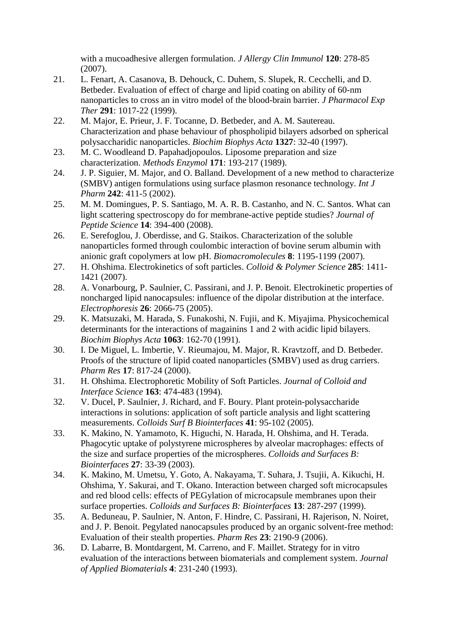with a mucoadhesive allergen formulation. *J Allergy Clin Immunol* **120**: 278-85 (2007).

- 21. L. Fenart, A. Casanova, B. Dehouck, C. Duhem, S. Slupek, R. Cecchelli, and D. Betbeder. Evaluation of effect of charge and lipid coating on ability of 60-nm nanoparticles to cross an in vitro model of the blood-brain barrier. *J Pharmacol Exp Ther* **291**: 1017-22 (1999).
- 22. M. Major, E. Prieur, J. F. Tocanne, D. Betbeder, and A. M. Sautereau. Characterization and phase behaviour of phospholipid bilayers adsorbed on spherical polysaccharidic nanoparticles. *Biochim Biophys Acta* **1327**: 32-40 (1997).
- 23. M. C. Woodleand D. Papahadjopoulos. Liposome preparation and size characterization. *Methods Enzymol* **171**: 193-217 (1989).
- 24. J. P. Siguier, M. Major, and O. Balland. Development of a new method to characterize (SMBV) antigen formulations using surface plasmon resonance technology. *Int J Pharm* **242**: 411-5 (2002).
- 25. M. M. Domingues, P. S. Santiago, M. A. R. B. Castanho, and N. C. Santos. What can light scattering spectroscopy do for membrane-active peptide studies? *Journal of Peptide Science* **14**: 394-400 (2008).
- 26. E. Serefoglou, J. Oberdisse, and G. Staikos. Characterization of the soluble nanoparticles formed through coulombic interaction of bovine serum albumin with anionic graft copolymers at low pH. *Biomacromolecules* **8**: 1195-1199 (2007).
- 27. H. Ohshima. Electrokinetics of soft particles. *Colloid & Polymer Science* **285**: 1411- 1421 (2007).
- 28. A. Vonarbourg, P. Saulnier, C. Passirani, and J. P. Benoit. Electrokinetic properties of noncharged lipid nanocapsules: influence of the dipolar distribution at the interface. *Electrophoresis* **26**: 2066-75 (2005).
- 29. K. Matsuzaki, M. Harada, S. Funakoshi, N. Fujii, and K. Miyajima. Physicochemical determinants for the interactions of magainins 1 and 2 with acidic lipid bilayers. *Biochim Biophys Acta* **1063**: 162-70 (1991).
- 30. I. De Miguel, L. Imbertie, V. Rieumajou, M. Major, R. Kravtzoff, and D. Betbeder. Proofs of the structure of lipid coated nanoparticles (SMBV) used as drug carriers. *Pharm Res* **17**: 817-24 (2000).
- 31. H. Ohshima. Electrophoretic Mobility of Soft Particles. *Journal of Colloid and Interface Science* **163**: 474-483 (1994).
- 32. V. Ducel, P. Saulnier, J. Richard, and F. Boury. Plant protein-polysaccharide interactions in solutions: application of soft particle analysis and light scattering measurements. *Colloids Surf B Biointerfaces* **41**: 95-102 (2005).
- 33. K. Makino, N. Yamamoto, K. Higuchi, N. Harada, H. Ohshima, and H. Terada. Phagocytic uptake of polystyrene microspheres by alveolar macrophages: effects of the size and surface properties of the microspheres. *Colloids and Surfaces B: Biointerfaces* **27**: 33-39 (2003).
- 34. K. Makino, M. Umetsu, Y. Goto, A. Nakayama, T. Suhara, J. Tsujii, A. Kikuchi, H. Ohshima, Y. Sakurai, and T. Okano. Interaction between charged soft microcapsules and red blood cells: effects of PEGylation of microcapsule membranes upon their surface properties. *Colloids and Surfaces B: Biointerfaces* **13**: 287-297 (1999).
- 35. A. Beduneau, P. Saulnier, N. Anton, F. Hindre, C. Passirani, H. Rajerison, N. Noiret, and J. P. Benoit. Pegylated nanocapsules produced by an organic solvent-free method: Evaluation of their stealth properties. *Pharm Res* **23**: 2190-9 (2006).
- 36. D. Labarre, B. Montdargent, M. Carreno, and F. Maillet. Strategy for in vitro evaluation of the interactions between biomaterials and complement system. *Journal of Applied Biomaterials* **4**: 231-240 (1993).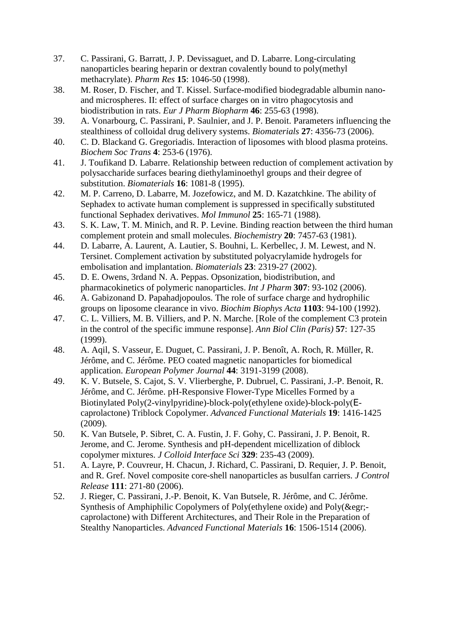- 37. C. Passirani, G. Barratt, J. P. Devissaguet, and D. Labarre. Long-circulating nanoparticles bearing heparin or dextran covalently bound to poly(methyl methacrylate). *Pharm Res* **15**: 1046-50 (1998).
- 38. M. Roser, D. Fischer, and T. Kissel. Surface-modified biodegradable albumin nanoand microspheres. II: effect of surface charges on in vitro phagocytosis and biodistribution in rats. *Eur J Pharm Biopharm* **46**: 255-63 (1998).
- 39. A. Vonarbourg, C. Passirani, P. Saulnier, and J. P. Benoit. Parameters influencing the stealthiness of colloidal drug delivery systems. *Biomaterials* **27**: 4356-73 (2006).
- 40. C. D. Blackand G. Gregoriadis. Interaction of liposomes with blood plasma proteins. *Biochem Soc Trans* **4**: 253-6 (1976).
- 41. J. Toufikand D. Labarre. Relationship between reduction of complement activation by polysaccharide surfaces bearing diethylaminoethyl groups and their degree of substitution. *Biomaterials* **16**: 1081-8 (1995).
- 42. M. P. Carreno, D. Labarre, M. Jozefowicz, and M. D. Kazatchkine. The ability of Sephadex to activate human complement is suppressed in specifically substituted functional Sephadex derivatives. *Mol Immunol* **25**: 165-71 (1988).
- 43. S. K. Law, T. M. Minich, and R. P. Levine. Binding reaction between the third human complement protein and small molecules. *Biochemistry* **20**: 7457-63 (1981).
- 44. D. Labarre, A. Laurent, A. Lautier, S. Bouhni, L. Kerbellec, J. M. Lewest, and N. Tersinet. Complement activation by substituted polyacrylamide hydrogels for embolisation and implantation. *Biomaterials* **23**: 2319-27 (2002).
- 45. D. E. Owens, 3rdand N. A. Peppas. Opsonization, biodistribution, and pharmacokinetics of polymeric nanoparticles. *Int J Pharm* **307**: 93-102 (2006).
- 46. A. Gabizonand D. Papahadjopoulos. The role of surface charge and hydrophilic groups on liposome clearance in vivo. *Biochim Biophys Acta* **1103**: 94-100 (1992).
- 47. C. L. Villiers, M. B. Villiers, and P. N. Marche. [Role of the complement C3 protein in the control of the specific immune response]. *Ann Biol Clin (Paris)* **57**: 127-35 (1999).
- 48. A. Aqil, S. Vasseur, E. Duguet, C. Passirani, J. P. Benoît, A. Roch, R. Müller, R. Jérôme, and C. Jérôme. PEO coated magnetic nanoparticles for biomedical application. *European Polymer Journal* **44**: 3191-3199 (2008).
- 49. K. V. Butsele, S. Cajot, S. V. Vlierberghe, P. Dubruel, C. Passirani, J.-P. Benoit, R. Jérôme, and C. Jérôme. pH-Responsive Flower-Type Micelles Formed by a Biotinylated Poly(2-vinylpyridine)-block-poly(ethylene oxide)-block-poly(Ecaprolactone) Triblock Copolymer. *Advanced Functional Materials* **19**: 1416-1425 (2009).
- 50. K. Van Butsele, P. Sibret, C. A. Fustin, J. F. Gohy, C. Passirani, J. P. Benoit, R. Jerome, and C. Jerome. Synthesis and pH-dependent micellization of diblock copolymer mixtures. *J Colloid Interface Sci* **329**: 235-43 (2009).
- 51. A. Layre, P. Couvreur, H. Chacun, J. Richard, C. Passirani, D. Requier, J. P. Benoit, and R. Gref. Novel composite core-shell nanoparticles as busulfan carriers. *J Control Release* **111**: 271-80 (2006).
- 52. J. Rieger, C. Passirani, J.-P. Benoit, K. Van Butsele, R. Jérôme, and C. Jérôme. Synthesis of Amphiphilic Copolymers of Poly(ethylene oxide) and Poly(&egr; caprolactone) with Different Architectures, and Their Role in the Preparation of Stealthy Nanoparticles. *Advanced Functional Materials* **16**: 1506-1514 (2006).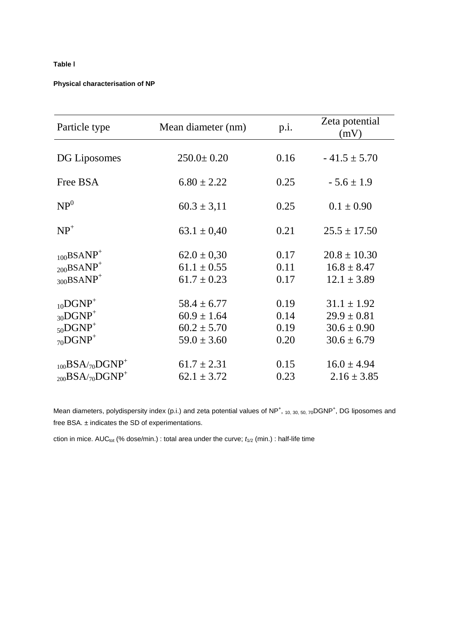## **Table** I

#### **Physical characterisation of NP**

| Particle type                                                                                  | Mean diameter (nm)                                                       | p.i.                         | Zeta potential<br>(mV)                                                   |  |
|------------------------------------------------------------------------------------------------|--------------------------------------------------------------------------|------------------------------|--------------------------------------------------------------------------|--|
| DG Liposomes                                                                                   | $250.0 \pm 0.20$                                                         | 0.16                         | $-41.5 \pm 5.70$                                                         |  |
| Free BSA                                                                                       | $6.80 \pm 2.22$                                                          | 0.25                         | $-5.6 \pm 1.9$                                                           |  |
| NP <sup>0</sup>                                                                                | $60.3 \pm 3.11$                                                          | 0.25                         | $0.1 \pm 0.90$                                                           |  |
| $NP^+$                                                                                         | $63.1 \pm 0.40$                                                          | 0.21                         | $25.5 \pm 17.50$                                                         |  |
| $_{100}$ BSANP <sup>+</sup><br>$_{200}$ BSANP <sup>+</sup><br>$_{300}\mathrm{BSAMP}^+$         | $62.0 \pm 0.30$<br>$61.1 \pm 0.55$<br>$61.7 \pm 0.23$                    | 0.17<br>0.11<br>0.17         | $20.8 \pm 10.30$<br>$16.8 \pm 8.47$<br>$12.1 \pm 3.89$                   |  |
| $_{10}$ DGNP <sup>+</sup><br>$_{30}DGNP^+$<br>$_{50}DGNP+$<br>$_{70}$ DGNP <sup>+</sup>        | $58.4 \pm 6.77$<br>$60.9 \pm 1.64$<br>$60.2 \pm 5.70$<br>$59.0 \pm 3.60$ | 0.19<br>0.14<br>0.19<br>0.20 | $31.1 \pm 1.92$<br>$29.9 \pm 0.81$<br>$30.6 \pm 0.90$<br>$30.6 \pm 6.79$ |  |
| $_{100}$ BSA/ <sub>70</sub> DGNP <sup>+</sup><br>$_{200}$ BSA/ <sub>70</sub> DGNP <sup>+</sup> | $61.7 \pm 2.31$<br>$62.1 \pm 3.72$                                       | 0.15<br>0.23                 | $16.0 \pm 4.94$<br>$2.16 \pm 3.85$                                       |  |

Mean diameters, polydispersity index (p.i.) and zeta potential values of NP<sup>+</sup>, 10, 30, 50, 70DGNP<sup>+</sup>, DG liposomes and free BSA. ± indicates the SD of experimentations.

ction in mice. AUC<sub>tot</sub> (% dose/min.) : total area under the curve;  $t_{1/2}$  (min.) : half-life time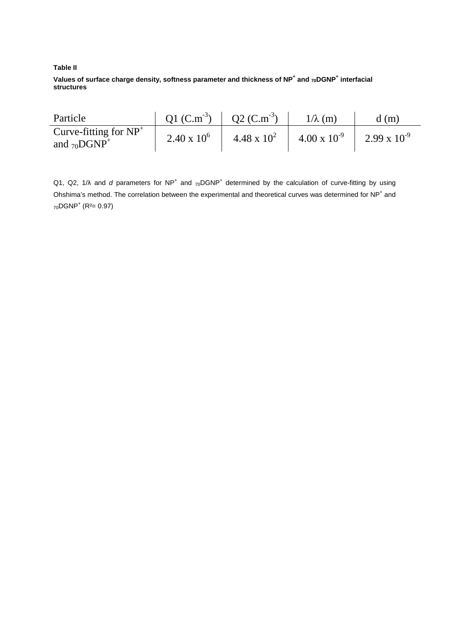#### **Table II**

**Values of surface charge density, softness parameter and thickness of NP<sup>+</sup> and 70DGNP<sup>+</sup> interfacial structures**

| Particle                                                  | $Q1 (C.m-3)$       | $\sim$ Q2 (C.m <sup>-3</sup> ) | $1/\lambda$ (m)       | d(m)                  |
|-----------------------------------------------------------|--------------------|--------------------------------|-----------------------|-----------------------|
| Curve-fitting for $NP^+$<br>and $_{70}$ DGNP <sup>+</sup> | $2.40 \times 10^6$ | $4.48 \times 10^{2}$           | $4.00 \times 10^{-9}$ | $2.99 \times 10^{-9}$ |

Q1, Q2, 1/ $\lambda$  and d parameters for NP<sup>+</sup> and <sub>70</sub>DGNP<sup>+</sup> determined by the calculation of curve-fitting by using Ohshima's method. The correlation between the experimental and theoretical curves was determined for NP<sup>+</sup> and  $_{70}$ DGNP<sup>+</sup> (R<sup>2</sup>= 0.97)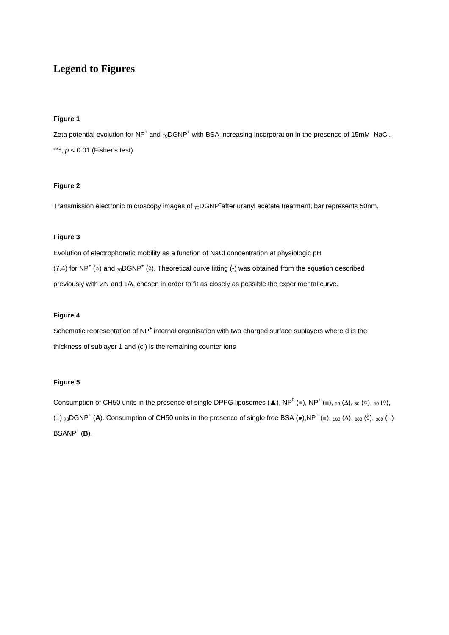# **Legend to Figures**

#### **Figure 1**

Zeta potential evolution for NP<sup>+</sup> and <sub>70</sub>DGNP<sup>+</sup> with BSA increasing incorporation in the presence of 15mM NaCl. \*\*\*,  $p < 0.01$  (Fisher's test)

## **Figure 2**

Transmission electronic microscopy images of <sub>70</sub>DGNP<sup>+</sup>after uranyl acetate treatment; bar represents 50nm.

#### **Figure 3**

Evolution of electrophoretic mobility as a function of NaCl concentration at physiologic pH (7.4) for NP<sup>+</sup> (○) and <sub>70</sub>DGNP<sup>+</sup> (◊). Theoretical curve fitting (-) was obtained from the equation described previously with ZN and 1/λ, chosen in order to fit as closely as possible the experimental curve.

#### **Figure 4**

Schematic representation of NP<sup>+</sup> internal organisation with two charged surface sublayers where d is the thickness of sublayer 1 and (ci) is the remaining counter ions

#### **Figure 5**

Consumption of CH50 units in the presence of single DPPG liposomes (A), NP<sup>0</sup> (.), NP<sup>+</sup> (...), <sub>10</sub> ( $\Delta$ ), <sub>30</sub> ( $\circ$ ), <sub>50</sub> ( $\circ$ ), (□)  $_{70}$ DGNP<sup>+</sup> (**A**). Consumption of CH50 units in the presence of single free BSA ( $\bullet$ ),NP<sup>+</sup> ( $\equiv$ ),  $_{100}$  (Δ),  $_{200}$  ( $\circ$ ),  $_{300}$  ( $\Box$ )  $BSANP^+$  (**B**).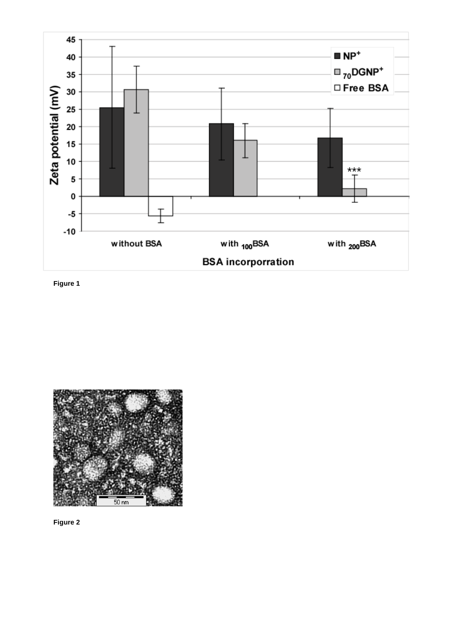

**Figure 1** 



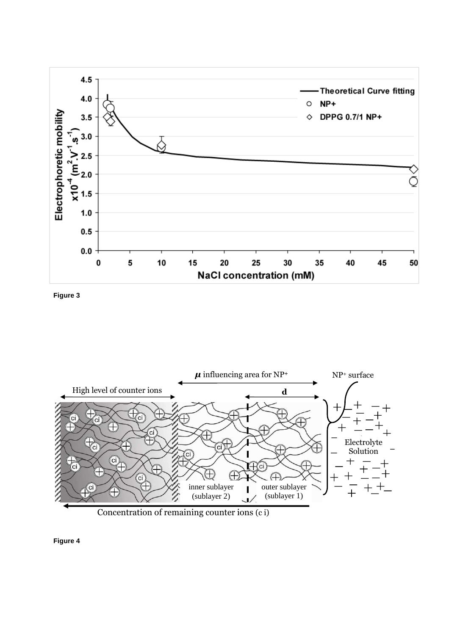

**Figure 3** 



**Figure 4**